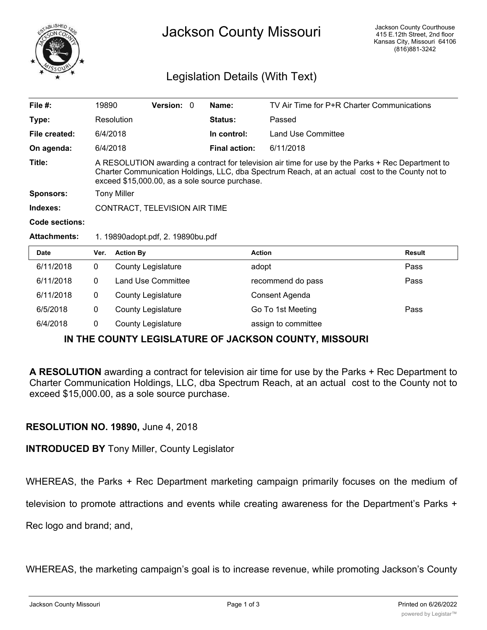

## Legislation Details (With Text)

| File $#$ :            | 19890                                                                                                                                                                                                                                                  | Version: 0 |                      | Name:              | TV Air Time for P+R Charter Communications |  |
|-----------------------|--------------------------------------------------------------------------------------------------------------------------------------------------------------------------------------------------------------------------------------------------------|------------|----------------------|--------------------|--------------------------------------------|--|
| Type:                 | Resolution                                                                                                                                                                                                                                             |            | <b>Status:</b>       | Passed             |                                            |  |
| File created:         | 6/4/2018                                                                                                                                                                                                                                               |            | In control:          | Land Use Committee |                                            |  |
| On agenda:            | 6/4/2018                                                                                                                                                                                                                                               |            | <b>Final action:</b> | 6/11/2018          |                                            |  |
| Title:                | A RESOLUTION awarding a contract for television air time for use by the Parks + Rec Department to<br>Charter Communication Holdings, LLC, dba Spectrum Reach, at an actual cost to the County not to<br>exceed \$15,000.00, as a sole source purchase. |            |                      |                    |                                            |  |
| Sponsors:             | <b>Tony Miller</b>                                                                                                                                                                                                                                     |            |                      |                    |                                            |  |
| Indexes:              | CONTRACT, TELEVISION AIR TIME                                                                                                                                                                                                                          |            |                      |                    |                                            |  |
| <b>Code sections:</b> |                                                                                                                                                                                                                                                        |            |                      |                    |                                            |  |
| <b>Attachments:</b>   | 1. 19890adopt.pdf, 2. 19890bu.pdf                                                                                                                                                                                                                      |            |                      |                    |                                            |  |

| <b>Date</b> | Ver. | <b>Action By</b>          | <b>Action</b>       | Result |
|-------------|------|---------------------------|---------------------|--------|
| 6/11/2018   | 0    | <b>County Legislature</b> | adopt               | Pass   |
| 6/11/2018   |      | Land Use Committee        | recommend do pass   | Pass   |
| 6/11/2018   | 0    | <b>County Legislature</b> | Consent Agenda      |        |
| 6/5/2018    | 0    | <b>County Legislature</b> | Go To 1st Meeting   | Pass   |
| 6/4/2018    |      | <b>County Legislature</b> | assign to committee |        |

## **IN THE COUNTY LEGISLATURE OF JACKSON COUNTY, MISSOURI**

**A RESOLUTION** awarding a contract for television air time for use by the Parks + Rec Department to Charter Communication Holdings, LLC, dba Spectrum Reach, at an actual cost to the County not to exceed \$15,000.00, as a sole source purchase.

## **RESOLUTION NO. 19890,** June 4, 2018

**INTRODUCED BY** Tony Miller, County Legislator

WHEREAS, the Parks + Rec Department marketing campaign primarily focuses on the medium of

television to promote attractions and events while creating awareness for the Department's Parks +

Rec logo and brand; and,

WHEREAS, the marketing campaign's goal is to increase revenue, while promoting Jackson's County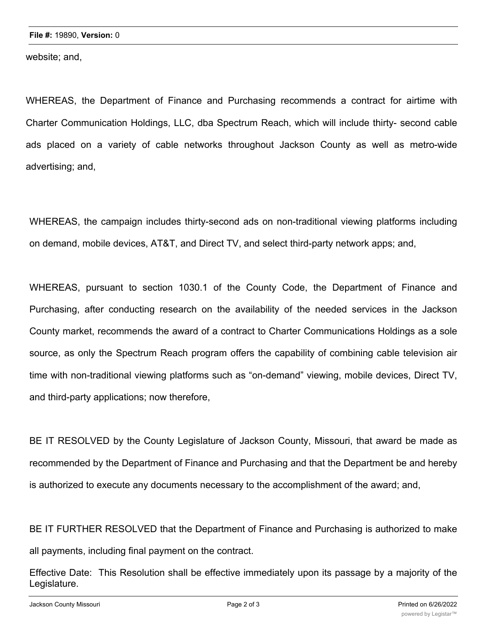website; and,

WHEREAS, the Department of Finance and Purchasing recommends a contract for airtime with Charter Communication Holdings, LLC, dba Spectrum Reach, which will include thirty- second cable ads placed on a variety of cable networks throughout Jackson County as well as metro-wide advertising; and,

WHEREAS, the campaign includes thirty-second ads on non-traditional viewing platforms including on demand, mobile devices, AT&T, and Direct TV, and select third-party network apps; and,

WHEREAS, pursuant to section 1030.1 of the County Code, the Department of Finance and Purchasing, after conducting research on the availability of the needed services in the Jackson County market, recommends the award of a contract to Charter Communications Holdings as a sole source, as only the Spectrum Reach program offers the capability of combining cable television air time with non-traditional viewing platforms such as "on-demand" viewing, mobile devices, Direct TV, and third-party applications; now therefore,

BE IT RESOLVED by the County Legislature of Jackson County, Missouri, that award be made as recommended by the Department of Finance and Purchasing and that the Department be and hereby is authorized to execute any documents necessary to the accomplishment of the award; and,

BE IT FURTHER RESOLVED that the Department of Finance and Purchasing is authorized to make all payments, including final payment on the contract.

Effective Date: This Resolution shall be effective immediately upon its passage by a majority of the Legislature.